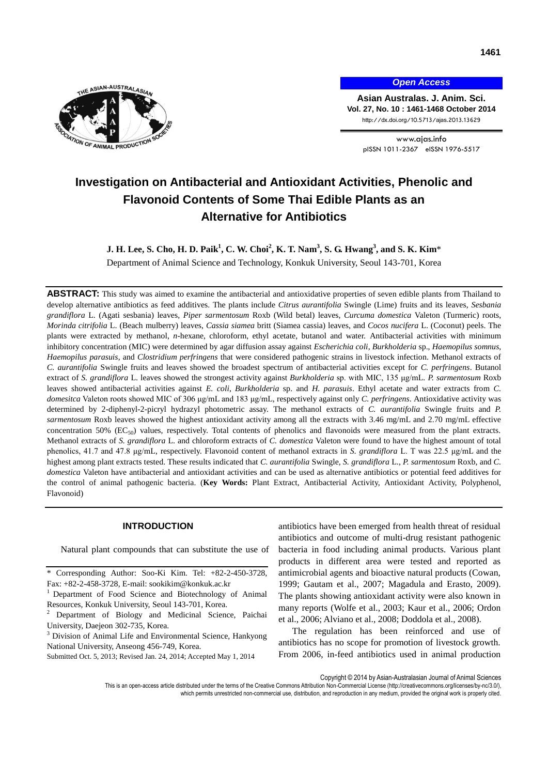

*Open Access*

**Asian Australas. J. Anim. Sci. Vol. 27, No. 10 : 1461-1468 October 2014** http://dx.doi.org/10.5713/ajas.2013.13629

> www.ajas.info pISSN 1011-2367 eISSN 1976-5517

# **Investigation on Antibacterial and Antioxidant Activities, Phenolic and Flavonoid Contents of Some Thai Edible Plants as an Alternative [f](http://journals.cambridge.org/abstract_S1466252308001497)or Antibiotics**

**J. H. Lee, S. Cho, H. D. Paik<sup>1</sup> , C. W. Choi<sup>2</sup> , K. T. Nam<sup>3</sup> , S. G. Hwang<sup>3</sup> , and S. K. Kim**\* Department of Animal Science and Technology, Konkuk University, Seoul 143-701, Korea

**ABSTRACT:** This study was aimed to examine the antibacterial and antioxidative properties of seven edible plants from Thailand to develop alternative antibiotics as feed additives. The plants include *Citrus aurantifolia* Swingle (Lime) fruits and its leaves, *Sesbania grandiflora* L. (Agati sesbania) leaves, *Piper sarmentosum* Roxb (Wild betal) leaves, *Curcuma domestica* Valeton (Turmeric) roots, *Morinda citrifolia* L. (Beach mulberry) leaves, *Cassia siamea* britt (Siamea cassia) leaves, and *Cocos nucifera* L. (Coconut) peels. The plants were extracted by methanol, *n*-hexane, chloroform, ethyl acetate, butanol and water. Antibacterial activities with minimum inhibitory concentration (MIC) were determined by agar diffusion assay against *Escherichia coli*, *Burkholderia* sp., *Haemopilus somnus*, *Haemopilus parasuis*, and *Clostridium perfringens* that were considered pathogenic strains in livestock infection. Methanol extracts of *C. aurantifolia* Swingle fruits and leaves showed the broadest spectrum of antibacterial activities except for *C. perfringens*. Butanol extract of *S. grandiflora* L. leaves showed the strongest activity against *Burkholderia* sp. with MIC, 135 μg/mL. *P. sarmentosum* Roxb leaves showed antibacterial activities against *E. coli*, *Burkholderia* sp. and *H. parasuis*. Ethyl acetate and water extracts from *C. domesitca* Valeton roots showed MIC of 306 μg/mL and 183 μg/mL, respectively against only *C. perfringens*. Antioxidative activity was determined by 2-diphenyl-2-picryl hydrazyl photometric assay. The methanol extracts of *C. aurantifolia* Swingle fruits and *P. sarmentosum* Roxb leaves showed the highest antioxidant activity among all the extracts with 3.46 mg/mL and 2.70 mg/mL effective concentration 50%  $(EC_{50})$  values, respectively. Total contents of phenolics and flavonoids were measured from the plant extracts. Methanol extracts of *S. grandiflora* L. and chloroform extracts of *C. domestica* Valeton were found to have the highest amount of total phenolics, 41.7 and 47.8 μg/mL, respectively. Flavonoid content of methanol extracts in *S. grandiflora* L. T was 22.5 μg/mL and the highest among plant extracts tested. These results indicated that *C. aurantifolia* Swingle, *S. grandiflora* L., *P. sarmentosum* Roxb, and *C. domestica* Valeton have antibacterial and antioxidant activities and can be used as alternative antibiotics or potential feed additives for the control of animal pathogenic bacteria. (**Key Words:** Plant Extract, Antibacterial Activity, Antioxidant Activity, Polyphenol, Flavonoid)

# **INTRODUCTION**

Natural plant compounds that can substitute the use of

antibiotics have been emerged from health threat of residual antibiotics and outcome of multi-drug resistant pathogenic bacteria in food including animal products. Various plant products in different area were tested and reported as antimicrobial agents and bioactive natural products (Cowan, 1999; Gautam et al., 2007; Magadula and Erasto, 2009). The plants showing antioxidant activity were also known in many reports (Wolfe et al., 2003; Kaur et al., 2006; Ordon et al., 2006; Alviano et al., 2008; Doddola et al., 2008).

The regulation has been reinforced and use of antibiotics has no scope for promotion of livestock growth. From 2006, in-feed antibiotics used in animal production

Corresponding Author: Soo-Ki Kim. Tel: +82-2-450-3728, Fax: +82-2-458-3728, E-mail: [sookikim@konkuk.ac.kr](mailto:sookikim@konkuk.ac.kr)

<sup>&</sup>lt;sup>1</sup> Department of Food Science and Biotechnology of Animal Resources, Konkuk University, Seoul 143-701, Korea.

<sup>2</sup> Department of Biology and Medicinal Science, Paichai University, Daejeon 302-735, Korea.

<sup>&</sup>lt;sup>3</sup> Division of Animal Life and Environmental Science, Hankyong National University, Anseong 456-749, Korea.

Submitted Oct. 5, 2013; Revised Jan. 24, 2014; Accepted May 1, 2014

Copyright © 2014 by Asian-Australasian Journal of Animal Sciences

This is an open-access article distributed under the terms of the Creative Commons Attribution Non-Commercial License [\(http://creativecommons.org/licenses/by-nc/3.0/\),](http://creativecommons.org/licenses/by-nc/3.0/) which permits unrestricted non-commercial use, distribution, and reproduction in any medium, provided the original work is properly cited.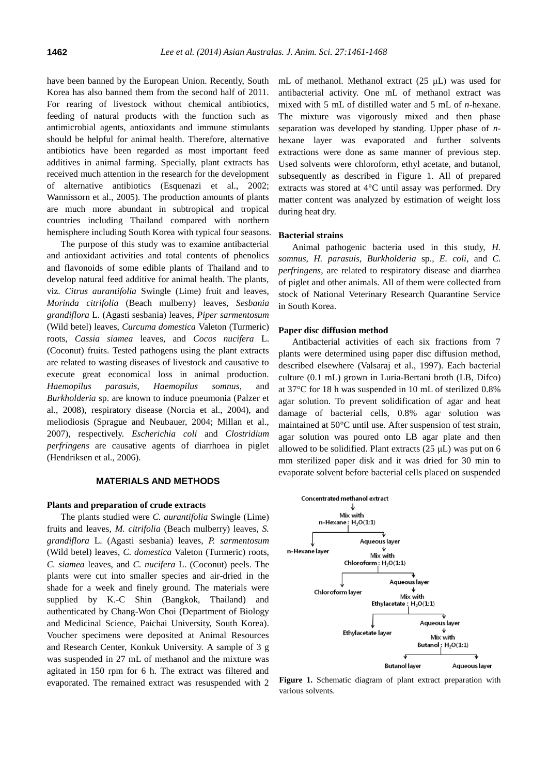have been banned by the European Union. Recently, South Korea has also banned them from the second half of 2011. For rearing of livestock without chemical antibiotics, feeding of natural products with the function such as antimicrobial agents, antioxidants and immune stimulants should be helpful for animal health. Therefore, alternative antibiotics have been regarded as most important feed additives in animal farming. Specially, plant extracts has received much attention in the research for the development of alternative antibiotics (Esquenazi et al., 2002; Wannissorn et al., 2005). The production amounts of plants are much more abundant in subtropical and tropical countries including Thailand compared with northern hemisphere including South Korea with typical four seasons.

The purpose of this study was to examine antibacterial and antioxidant activities and total contents of phenolics and flavonoids of some edible plants of Thailand and to develop natural feed additive for animal health. The plants, viz. *Citrus aurantifolia* Swingle (Lime) fruit and leaves, *Morinda citrifolia* (Beach mulberry) leaves, *Sesbania grandiflora* L. (Agasti sesbania) leaves, *Piper sarmentosum* (Wild betel) leaves, *Curcuma domestica* Valeton (Turmeric) roots, *Cassia siamea* leaves, and *Cocos nucifera* L. (Coconut) fruits. Tested pathogens using the plant extracts are related to wasting diseases of livestock and causative to execute great economical loss in animal production. *Haemopilus parasuis*, *Haemopilus somnus*, and *Burkholderia* sp. are known to induce pneumonia (Palzer et al., 2008), respiratory disease (Norcia et al., 2004), and meliodiosis (Sprague and Neubauer, 2004; Millan et al., 2007), respectively. *Escherichia coli* and *Clostridium perfringens* are causative agents of diarrhoea in piglet (Hendriksen et al., 2006).

## **MATERIALS AND METHODS**

#### **Plants and preparation of crude extracts**

The plants studied were *C. aurantifolia* Swingle (Lime) fruits and leaves, *M. citrifolia* (Beach mulberry) leaves, *S. grandiflora* L. (Agasti sesbania) leaves, *P. sarmentosum* (Wild betel) leaves, *C. domestica* Valeton (Turmeric) roots, *C. siamea* leaves, and *C. nucifera* L. (Coconut) peels. The plants were cut into smaller species and air-dried in the shade for a week and finely ground. The materials were supplied by K.-C Shin (Bangkok, Thailand) and authenticated by Chang-Won Choi (Department of Biology and Medicinal Science, Paichai University, South Korea). Voucher specimens were deposited at Animal Resources and Research Center, Konkuk University. A sample of 3 g was suspended in 27 mL of methanol and the mixture was agitated in 150 rpm for 6 h. The extract was filtered and evaporated. The remained extract was resuspended with 2

mL of methanol. Methanol extract (25 μL) was used for antibacterial activity. One mL of methanol extract was mixed with 5 mL of distilled water and 5 mL of *n*-hexane. The mixture was vigorously mixed and then phase separation was developed by standing. Upper phase of *n*hexane layer was evaporated and further solvents extractions were done as same manner of previous step. Used solvents were chloroform, ethyl acetate, and butanol, subsequently as described in Figure 1. All of prepared extracts was stored at 4°C until assay was performed. Dry matter content was analyzed by estimation of weight loss during heat dry.

## **Bacterial strains**

Animal pathogenic bacteria used in this study, *H. somnus*, *H. parasuis*, *Burkholderia* sp., *E. coli*, and *C. perfringens*, are related to respiratory disease and diarrhea of piglet and other animals. All of them were collected from stock of National Veterinary Research Quarantine Service in South Korea.

#### **Paper disc diffusion method**

Antibacterial activities of each six fractions from 7 plants were determined using paper disc diffusion method, described elsewhere (Valsaraj et al., 1997). Each bacterial culture (0.1 mL) grown in Luria-Bertani broth (LB, Difco) at 37°C for 18 h was suspended in 10 mL of sterilized 0.8% agar solution. To prevent solidification of agar and heat damage of bacterial cells, 0.8% agar solution was maintained at 50°C until use. After suspension of test strain, agar solution was poured onto LB agar plate and then allowed to be solidified. Plant extracts (25 μL) was put on 6 mm sterilized paper disk and it was dried for 30 min to evaporate solvent before bacterial cells placed on suspended



**Figure 1.** Schematic diagram of plant extract preparation with various solvents.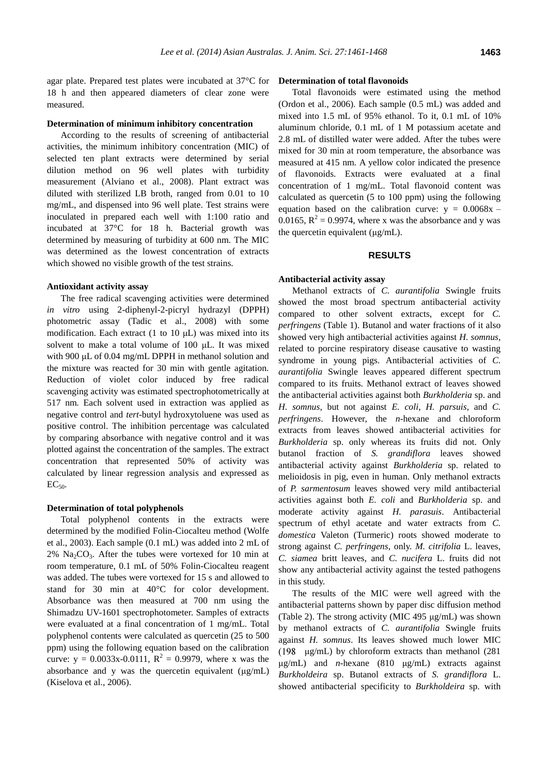agar plate. Prepared test plates were incubated at 37°C for 18 h and then appeared diameters of clear zone were measured.

#### **Determination of minimum inhibitory concentration**

According to the results of screening of antibacterial activities, the minimum inhibitory concentration (MIC) of selected ten plant extracts were determined by serial dilution method on 96 well plates with turbidity measurement (Alviano et al., 2008). Plant extract was diluted with sterilized LB broth, ranged from 0.01 to 10 mg/mL, and dispensed into 96 well plate. Test strains were inoculated in prepared each well with 1:100 ratio and incubated at 37°C for 18 h. Bacterial growth was determined by measuring of turbidity at 600 nm. The MIC was determined as the lowest concentration of extracts which showed no visible growth of the test strains.

# **Antioxidant activity assay**

The free radical scavenging activities were determined *in vitro* using 2-diphenyl-2-picryl hydrazyl (DPPH) photometric assay (Tadic et al., 2008) with some modification. Each extract (1 to 10 μL) was mixed into its solvent to make a total volume of 100 μL. It was mixed with 900 μL of 0.04 mg/mL DPPH in methanol solution and the mixture was reacted for 30 min with gentle agitation. Reduction of violet color induced by free radical scavenging activity was estimated spectrophotometrically at 517 nm. Each solvent used in extraction was applied as negative control and *tert*-butyl hydroxytoluene was used as positive control. The inhibition percentage was calculated by comparing absorbance with negative control and it was plotted against the concentration of the samples. The extract concentration that represented 50% of activity was calculated by linear regression analysis and expressed as  $EC_{50}$ 

## **Determination of total polyphenols**

Total polyphenol contents in the extracts were determined by the modified Folin-Ciocalteu method (Wolfe et al., 2003). Each sample (0.1 mL) was added into 2 mL of  $2\%$  Na<sub>2</sub>CO<sub>3</sub>. After the tubes were vortexed for 10 min at room temperature, 0.1 mL of 50% Folin-Ciocalteu reagent was added. The tubes were vortexed for 15 s and allowed to stand for 30 min at 40°C for color development. Absorbance was then measured at 700 nm using the Shimadzu UV-1601 spectrophotometer. Samples of extracts were evaluated at a final concentration of 1 mg/mL. Total polyphenol contents were calculated as quercetin (25 to 500 ppm) using the following equation based on the calibration curve:  $y = 0.0033x-0.0111$ ,  $R^2 = 0.9979$ , where x was the absorbance and y was the quercetin equivalent (μg/mL) (Kiselova et al., 2006).

#### **Determination of total flavonoids**

Total flavonoids were estimated using the method (Ordon et al., 2006). Each sample (0.5 mL) was added and mixed into 1.5 mL of 95% ethanol. To it, 0.1 mL of 10% aluminum chloride, 0.1 mL of 1 M potassium acetate and 2.8 mL of distilled water were added. After the tubes were mixed for 30 min at room temperature, the absorbance was measured at 415 nm. A yellow color indicated the presence of flavonoids. Extracts were evaluated at a final concentration of 1 mg/mL. Total flavonoid content was calculated as quercetin (5 to 100 ppm) using the following equation based on the calibration curve:  $y = 0.0068x$  – 0.0165,  $R^2 = 0.9974$ , where x was the absorbance and y was the quercetin equivalent (μg/mL).

# **RESULTS**

# **Antibacterial activity assay**

Methanol extracts of *C. aurantifolia* Swingle fruits showed the most broad spectrum antibacterial activity compared to other solvent extracts, except for *C. perfringens* (Table 1). Butanol and water fractions of it also showed very high antibacterial activities against *H. somnus*, related to porcine respiratory disease causative to wasting syndrome in young pigs. Antibacterial activities of *C. aurantifolia* Swingle leaves appeared different spectrum compared to its fruits. Methanol extract of leaves showed the antibacterial activities against both *Burkholderia* sp. and *H. somnus*, but not against *E. coli*, *H. parsuis*, and *C. perfringens*. However, the *n*-hexane and chloroform extracts from leaves showed antibacterial activities for *Burkholderia* sp. only whereas its fruits did not. Only butanol fraction of *S. grandiflora* leaves showed antibacterial activity against *Burkholderia* sp. related to melioidosis in pig, even in human. Only methanol extracts of *P. sarmentosum* leaves showed very mild antibacterial activities against both *E. coli* and *Burkholderia* sp. and moderate activity against *H. parasuis*. Antibacterial spectrum of ethyl acetate and water extracts from *C. domestica* Valeton (Turmeric) roots showed moderate to strong against *C. perfringens*, only. *M. citrifolia* L. leaves, *C. siamea* britt leaves, and *C. nucifera* L. fruits did not show any antibacterial activity against the tested pathogens in this study.

The results of the MIC were well agreed with the antibacterial patterns shown by paper disc diffusion method (Table 2). The strong activity (MIC 495 μg/mL) was shown by methanol extracts of *C. aurantifolia* Swingle fruits against *H. somnus*. Its leaves showed much lower MIC μg/mL) by chloroform extracts than methanol (281 μg/mL) and *n-*hexane (810 μg/mL) extracts against *Burkholdeira* sp. Butanol extracts of *S. grandiflora* L. showed antibacterial specificity to *Burkholdeira* sp. with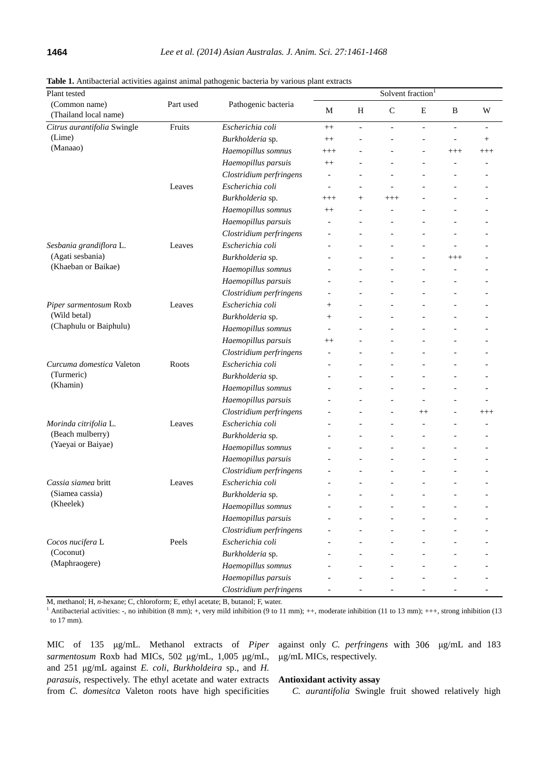| Plant tested                                                       |        |                         | Solvent fraction <sup>1</sup> |                |                |                |                |                          |
|--------------------------------------------------------------------|--------|-------------------------|-------------------------------|----------------|----------------|----------------|----------------|--------------------------|
| (Common name)<br>Part used<br>(Thailand local name)                |        | Pathogenic bacteria     | М                             | Η              | $\mathsf{C}$   | E              | B              | W                        |
| Citrus aurantifolia Swingle<br>Fruits                              |        | Escherichia coli        | $^{++}$                       | $\overline{a}$ | $\overline{a}$ | $\blacksquare$ | $\overline{a}$ | $\overline{\phantom{a}}$ |
| (Lime)                                                             |        | Burkholderia sp.        | $^{++}$                       |                |                |                | $\overline{a}$ | $^{+}$                   |
| (Manaao)                                                           |        | Haemopillus somnus      | $^{+++}$                      |                |                |                | $^{+++}$       | $^{+++}$                 |
|                                                                    |        | Haemopillus parsuis     | $^{++}$                       |                |                |                |                |                          |
|                                                                    |        | Clostridium perfringens |                               |                |                |                |                |                          |
|                                                                    | Leaves | Escherichia coli        | $\overline{\phantom{a}}$      |                |                |                |                |                          |
|                                                                    |        | Burkholderia sp.        | $^{+++}$                      | $^{+}$         | $^{+++}$       |                |                |                          |
|                                                                    |        | Haemopillus somnus      | $^{++}$                       |                |                |                |                |                          |
|                                                                    |        | Haemopillus parsuis     |                               |                |                |                |                |                          |
|                                                                    |        | Clostridium perfringens |                               |                |                |                |                |                          |
| Sesbania grandiflora L.<br>(Agati sesbania)<br>(Khaeban or Baikae) | Leaves | Escherichia coli        |                               |                |                |                |                |                          |
|                                                                    |        | Burkholderia sp.        |                               |                |                |                | $^{+++}$       |                          |
|                                                                    |        | Haemopillus somnus      |                               |                |                |                |                |                          |
|                                                                    |        | Haemopillus parsuis     |                               |                |                |                |                |                          |
|                                                                    |        | Clostridium perfringens |                               |                |                |                |                |                          |
| Piper sarmentosum Roxb<br>(Wild betal)<br>(Chaphulu or Baiphulu)   | Leaves | Escherichia coli        | $^{+}$                        |                |                |                |                |                          |
|                                                                    |        | Burkholderia sp.        | $^+$                          |                |                |                |                |                          |
|                                                                    |        | Haemopillus somnus      |                               |                |                |                |                |                          |
|                                                                    |        | Haemopillus parsuis     | $^{++}$                       |                |                |                |                |                          |
|                                                                    |        | Clostridium perfringens |                               |                |                |                |                |                          |
| Curcuma domestica Valeton<br>(Turmeric)<br>(Khamin)                | Roots  | Escherichia coli        |                               |                |                |                |                |                          |
|                                                                    |        | Burkholderia sp.        |                               |                |                |                |                |                          |
|                                                                    |        | Haemopillus somnus      |                               |                |                |                |                |                          |
|                                                                    |        | Haemopillus parsuis     |                               |                |                |                |                |                          |
|                                                                    |        | Clostridium perfringens |                               |                | $\overline{a}$ | $^{++}$        |                | $^{+++}$                 |
| Morinda citrifolia L.<br>(Beach mulberry)<br>(Yaeyai or Baiyae)    | Leaves | Escherichia coli        |                               |                |                |                |                |                          |
|                                                                    |        | Burkholderia sp.        |                               |                |                |                |                |                          |
|                                                                    |        | Haemopillus somnus      |                               |                |                |                |                |                          |
|                                                                    |        | Haemopillus parsuis     |                               |                |                |                |                |                          |
|                                                                    |        | Clostridium perfringens |                               |                |                |                |                |                          |
| Cassia siamea britt                                                | Leaves | Escherichia coli        |                               |                |                |                |                |                          |
| (Siamea cassia)<br>(Kheelek)                                       |        | Burkholderia sp.        |                               |                |                |                |                |                          |
|                                                                    |        | Haemopillus somnus      |                               |                |                |                |                |                          |
|                                                                    |        | Haemopillus parsuis     |                               |                |                |                |                |                          |
|                                                                    |        | Clostridium perfringens |                               |                |                |                |                |                          |
| Cocos nucifera L                                                   | Peels  | Escherichia coli        |                               |                |                |                |                |                          |
| (Coconut)                                                          |        | Burkholderia sp.        |                               |                |                |                |                |                          |
| (Maphraogere)                                                      |        | Haemopillus somnus      |                               |                |                |                |                |                          |
|                                                                    |        | Haemopillus parsuis     |                               |                |                |                |                |                          |
|                                                                    |        | Clostridium perfringens |                               |                |                |                |                |                          |

**Table 1.** Antibacterial activities against animal pathogenic bacteria by various plant extracts

M, methanol; H, *n*-hexane; C, chloroform; E, ethyl acetate; B, butanol; F, water.

<sup>1</sup> Antibacterial activities:  $\text{-}$ , no inhibition (8 mm); +, very mild inhibition (9 to 11 mm); ++, moderate inhibition (11 to 13 mm); +++, strong inhibition (13 to 17 mm).

MIC of 135 μg/mL. Methanol extracts of *Piper sarmentosum* Roxb had MICs, 502 μg/mL, 1,005 μg/mL, and 251 μg/mL against *E. coli*, *Burkholdeira* sp., and *H. parasuis*, respectively. The ethyl acetate and water extracts from *C. domesitca* Valeton roots have high specificities against only *C. perfringens* μg/mL and 183 μg/mL MICs, respectively.

# **Antioxidant activity assay**

*C. aurantifolia* Swingle fruit showed relatively high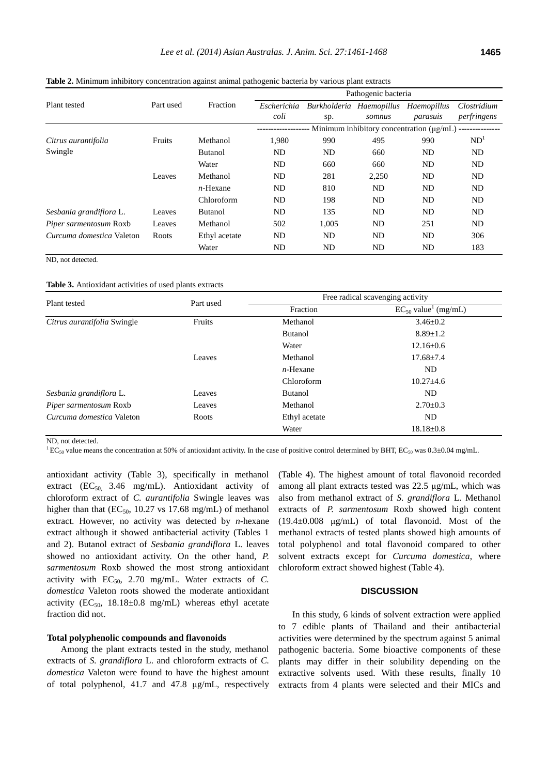|                               |           |                | Pathogenic bacteria                           |                          |        |             |                 |  |
|-------------------------------|-----------|----------------|-----------------------------------------------|--------------------------|--------|-------------|-----------------|--|
| Plant tested                  | Part used | Fraction       | Escherichia                                   | Burkholderia Haemopillus |        | Haemopillus | Clostridium     |  |
|                               |           |                | coli                                          | sp.                      | somnus | parasuis    | perfringens     |  |
|                               |           |                | Minimum inhibitory concentration $(\mu g/mL)$ |                          |        |             |                 |  |
| Citrus aurantifolia           | Fruits    | Methanol       | 1,980                                         | 990                      | 495    | 990         | ND <sup>1</sup> |  |
| Swingle                       |           | <b>Butanol</b> | N <sub>D</sub>                                | ND                       | 660    | ND          | N <sub>D</sub>  |  |
|                               |           | Water          | N <sub>D</sub>                                | 660                      | 660    | ND          | N <sub>D</sub>  |  |
|                               | Leaves    | Methanol       | N <sub>D</sub>                                | 281                      | 2,250  | ND          | ND              |  |
|                               |           | $n$ -Hexane    | ND                                            | 810                      | ND.    | ND.         | <b>ND</b>       |  |
|                               |           | Chloroform     | N <sub>D</sub>                                | 198                      | ND.    | <b>ND</b>   | N <sub>D</sub>  |  |
| Sesbania grandiflora L.       | Leaves    | <b>Butanol</b> | N <sub>D</sub>                                | 135                      | ND.    | ND          | <b>ND</b>       |  |
| <i>Piper sarmentosum</i> Roxb | Leaves    | Methanol       | 502                                           | 1,005                    | ND     | 251         | <b>ND</b>       |  |
| Curcuma domestica Valeton     | Roots     | Ethyl acetate  | N <sub>D</sub>                                | ND.                      | ND.    | <b>ND</b>   | 306             |  |
|                               |           | Water          | ND                                            | ND                       | ND.    | ND          | 183             |  |

**Table 2.** Minimum inhibitory concentration against animal pathogenic bacteria by various plant extracts

ND, not detected.

**Table 3.** Antioxidant activities of used plants extracts

| Plant tested                | Part used | Free radical scavenging activity |                                      |  |  |
|-----------------------------|-----------|----------------------------------|--------------------------------------|--|--|
|                             |           | Fraction                         | $EC_{50}$ value <sup>1</sup> (mg/mL) |  |  |
| Citrus aurantifolia Swingle | Fruits    | Methanol                         | $3.46 \pm 0.2$                       |  |  |
|                             |           | <b>Butanol</b>                   | $8.89 \pm 1.2$                       |  |  |
|                             |           | Water                            | $12.16 \pm 0.6$                      |  |  |
|                             | Leaves    | Methanol                         | $17.68 \pm 7.4$                      |  |  |
|                             |           | $n$ -Hexane                      | ND.                                  |  |  |
|                             |           | Chloroform                       | $10.27 \pm 4.6$                      |  |  |
| Sesbania grandiflora L.     | Leaves    | <b>Butanol</b>                   | ND.                                  |  |  |
| Piper sarmentosum Roxb      | Leaves    | Methanol                         | $2.70 \pm 0.3$                       |  |  |
| Curcuma domestica Valeton   | Roots     | Ethyl acetate                    | ND.                                  |  |  |
|                             |           | Water                            | $18.18 \pm 0.8$                      |  |  |

ND, not detected.

 ${}^{1}$  EC<sub>50</sub> value means the concentration at 50% of antioxidant activity. In the case of positive control determined by BHT, EC<sub>50</sub> was 0.3±0.04 mg/mL.

antioxidant activity (Table 3), specifically in methanol extract  $(EC_{50}$ , 3.46 mg/mL). Antioxidant activity of chloroform extract of *C. aurantifolia* Swingle leaves was higher than that  $(EC_{50}, 10.27 \text{ vs } 17.68 \text{ mg/mL})$  of methanol extract. However, no activity was detected by *n*-hexane extract although it showed antibacterial activity (Tables 1 and 2). Butanol extract of *Sesbania grandiflora* L. leaves showed no antioxidant activity. On the other hand, *P. sarmentosum* Roxb showed the most strong antioxidant activity with  $EC_{50}$ , 2.70 mg/mL. Water extracts of *C*. *domestica* Valeton roots showed the moderate antioxidant activity ( $EC_{50}$ , 18.18±0.8 mg/mL) whereas ethyl acetate fraction did not.

# **Total polyphenolic compounds and flavonoids**

Among the plant extracts tested in the study, methanol extracts of *S. grandiflora* L. and chloroform extracts of *C. domestica* Valeton were found to have the highest amount of total polyphenol, 41.7 and 47.8 μg/mL, respectively

(Table 4). The highest amount of total flavonoid recorded among all plant extracts tested was 22.5 μg/mL, which was also from methanol extract of *S. grandiflora* L. Methanol extracts of *P. sarmentosum* Roxb showed high content  $(19.4\pm0.008 \text{ \mu g/mL})$  of total flavonoid. Most of the methanol extracts of tested plants showed high amounts of total polyphenol and total flavonoid compared to other solvent extracts except for *Curcuma domestica*, where chloroform extract showed highest (Table 4).

## **DISCUSSION**

In this study, 6 kinds of solvent extraction were applied to 7 edible plants of Thailand and their antibacterial activities were determined by the spectrum against 5 animal pathogenic bacteria. Some bioactive components of these plants may differ in their solubility depending on the extractive solvents used. With these results, finally 10 extracts from 4 plants were selected and their MICs and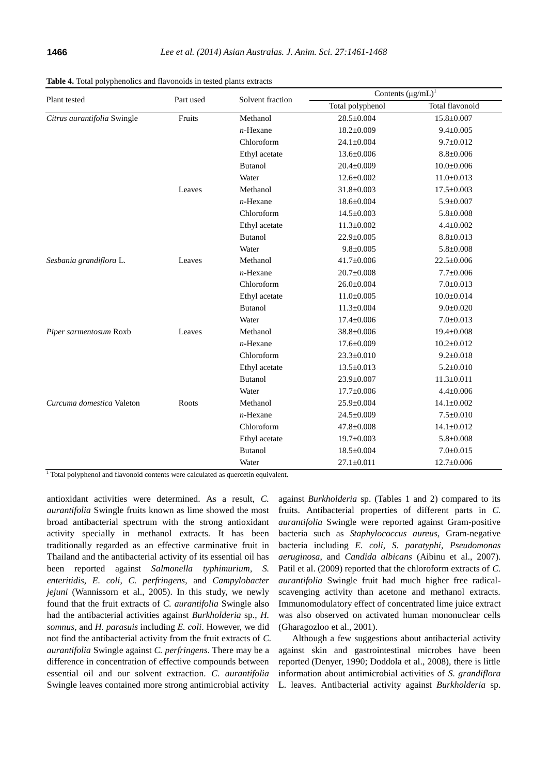|                             |           |                  | Contents $(\mu g/mL)^{1}$ |                  |  |  |
|-----------------------------|-----------|------------------|---------------------------|------------------|--|--|
| Plant tested                | Part used | Solvent fraction | Total polyphenol          | Total flavonoid  |  |  |
| Citrus aurantifolia Swingle | Fruits    | Methanol         | $28.5 \pm 0.004$          | $15.8 \pm 0.007$ |  |  |
|                             |           | $n$ -Hexane      | $18.2 \pm 0.009$          | $9.4 \pm 0.005$  |  |  |
|                             |           | Chloroform       | $24.1 \pm 0.004$          | $9.7 \pm 0.012$  |  |  |
|                             |           | Ethyl acetate    | 13.6±0.006                | $8.8 \pm 0.006$  |  |  |
|                             |           | <b>Butanol</b>   | $20.4 \pm 0.009$          | $10.0 \pm 0.006$ |  |  |
|                             |           | Water            | $12.6 \pm 0.002$          | $11.0 \pm 0.013$ |  |  |
|                             | Leaves    | Methanol         | $31.8 \pm 0.003$          | $17.5 \pm 0.003$ |  |  |
|                             |           | $n$ -Hexane      | $18.6 \pm 0.004$          | $5.9 \pm 0.007$  |  |  |
|                             |           | Chloroform       | $14.5 \pm 0.003$          | $5.8 \pm 0.008$  |  |  |
|                             |           | Ethyl acetate    | $11.3 \pm 0.002$          | $4.4 \pm 0.002$  |  |  |
|                             |           | <b>Butanol</b>   | $22.9 \pm 0.005$          | $8.8 \pm 0.013$  |  |  |
|                             |           | Water            | $9.8 \pm 0.005$           | $5.8 \pm 0.008$  |  |  |
| Sesbania grandiflora L.     | Leaves    | Methanol         | $41.7 \pm 0.006$          | $22.5 \pm 0.006$ |  |  |
|                             |           | $n$ -Hexane      | $20.7 \pm 0.008$          | $7.7 \pm 0.006$  |  |  |
|                             |           | Chloroform       | $26.0 \pm 0.004$          | $7.0 \pm 0.013$  |  |  |
|                             |           | Ethyl acetate    | $11.0 \pm 0.005$          | $10.0 \pm 0.014$ |  |  |
|                             |           | <b>Butanol</b>   | $11.3 \pm 0.004$          | $9.0 \pm 0.020$  |  |  |
|                             |           | Water            | $17.4 \pm 0.006$          | $7.0 \pm 0.013$  |  |  |
| Piper sarmentosum Roxb      | Leaves    | Methanol         | $38.8 \pm 0.006$          | $19.4 \pm 0.008$ |  |  |
|                             |           | $n$ -Hexane      | $17.6 \pm 0.009$          | $10.2 \pm 0.012$ |  |  |
|                             |           | Chloroform       | $23.3 \pm 0.010$          | $9.2 \pm 0.018$  |  |  |
|                             |           | Ethyl acetate    | $13.5 \pm 0.013$          | $5.2 \pm 0.010$  |  |  |
|                             |           | <b>Butanol</b>   | $23.9 \pm 0.007$          | $11.3 \pm 0.011$ |  |  |
|                             |           | Water            | $17.7 \pm 0.006$          | $4.4 \pm 0.006$  |  |  |
| Curcuma domestica Valeton   | Roots     | Methanol         | $25.9 \pm 0.004$          | $14.1 \pm 0.002$ |  |  |
|                             |           | $n$ -Hexane      | $24.5 \pm 0.009$          | $7.5 \pm 0.010$  |  |  |
|                             |           | Chloroform       | $47.8 \pm 0.008$          | $14.1 \pm 0.012$ |  |  |
|                             |           | Ethyl acetate    | $19.7 \pm 0.003$          | $5.8 \pm 0.008$  |  |  |
|                             |           | <b>Butanol</b>   | $18.5 \pm 0.004$          | $7.0 \pm 0.015$  |  |  |
|                             |           | Water            | $27.1 \pm 0.011$          | $12.7 \pm 0.006$ |  |  |

**Table 4.** Total polyphenolics and flavonoids in tested plants extracts

<sup>1</sup> Total polyphenol and flavonoid contents were calculated as quercetin equivalent.

antioxidant activities were determined. As a result, *C. aurantifolia* Swingle fruits known as lime showed the most broad antibacterial spectrum with the strong antioxidant activity specially in methanol extracts. It has been traditionally regarded as an effective carminative fruit in Thailand and the antibacterial activity of its essential oil has been reported against *Salmonella typhimurium*, *S. enteritidis*, *E. coli*, *C. perfringens*, and *Campylobacter jejuni* (Wannissorn et al., 2005). In this study, we newly found that the fruit extracts of *C. aurantifolia* Swingle also had the antibacterial activities against *Burkholderia* sp., *H. somnus*, and *H. parasuis* including *E. coli*. However, we did not find the antibacterial activity from the fruit extracts of *C. aurantifolia* Swingle against *C. perfringens*. There may be a difference in concentration of effective compounds between essential oil and our solvent extraction. *C. aurantifolia* Swingle leaves contained more strong antimicrobial activity

against *Burkholderia* sp. (Tables 1 and 2) compared to its fruits. Antibacterial properties of different parts in *C. aurantifolia* Swingle were reported against Gram-positive bacteria such as *Staphylococcus aureus*, Gram-negative bacteria including *E. coli*, *S. paratyphi*, *Pseudomonas aeruginosa*, and *Candida albicans* (Aibinu et al., 2007). Patil et al. (2009) reported that the chloroform extracts of *C. aurantifolia* Swingle fruit had much higher free radicalscavenging activity than acetone and methanol extracts. Immunomodulatory effect of concentrated lime juice extract was also observed on activated human mononuclear cells (Gharagozloo et al., 2001).

Although a few suggestions about antibacterial activity against skin and gastrointestinal microbes have been reported (Denyer, 1990; Doddola et al., 2008), there is little information about antimicrobial activities of *S. grandiflora* L. leaves. Antibacterial activity against *Burkholderia* sp.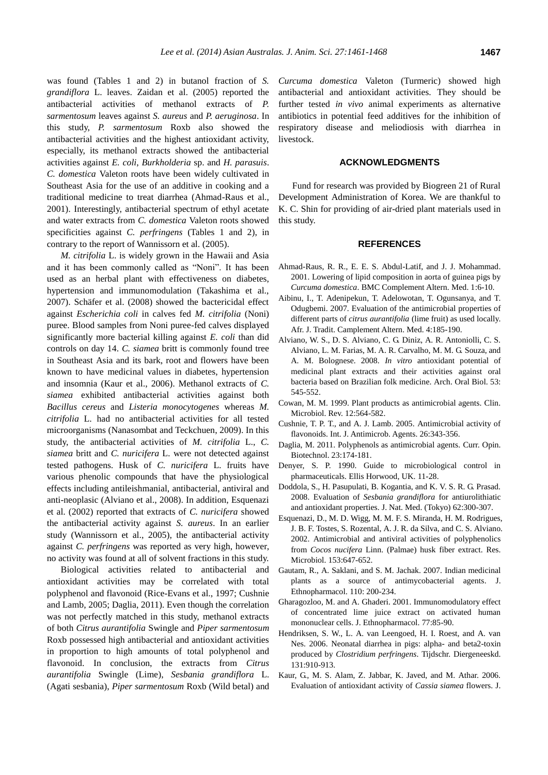was found (Tables 1 and 2) in butanol fraction of *S. grandiflora* L. leaves. Zaidan et al. (2005) reported the antibacterial activities of methanol extracts of *P. sarmentosum* leaves against *S. aureus* and *P. aeruginosa*. In this study, *P. sarmentosum* Roxb also showed the antibacterial activities and the highest antioxidant activity, especially, its methanol extracts showed the antibacterial activities against *E. coli*, *Burkholderia* sp. and *H. parasuis*. *C. domestica* Valeton roots have been widely cultivated in Southeast Asia for the use of an additive in cooking and a traditional medicine to treat diarrhea (Ahmad-Raus et al., 2001). Interestingly, antibacterial spectrum of ethyl acetate and water extracts from *C. domestica* Valeton roots showed specificities against *C. perfringens* (Tables 1 and 2), in contrary to the report of Wannissorn et al. (2005).

*M. citrifolia* L. is widely grown in the Hawaii and Asia and it has been commonly called as "Noni". It has been used as an herbal plant with effectiveness on diabetes, hypertension and immunomodulation (Takashima et al., 2007). Schäfer et al. (2008) showed the bactericidal effect against *Escherichia coli* in calves fed *M. citrifolia* (Noni) puree. Blood samples from Noni puree-fed calves displayed significantly more bacterial killing against *E. coli* than did controls on day 14. *C. siamea* britt is commonly found tree in Southeast Asia and its bark, root and flowers have been known to have medicinal values in diabetes, hypertension and insomnia (Kaur et al., 2006). Methanol extracts of *C. siamea* exhibited antibacterial activities against both *Bacillus cereus* and *Listeria monocytogenes* whereas *M. citrifolia* L. had no antibacterial activities for all tested microorganisms (Nanasombat and Teckchuen, 2009). In this study, the antibacterial activities of *M. citrifolia* L., *C. siamea* britt and *C. nuricifera* L. were not detected against tested pathogens. Husk of *C. nuricifera* L. fruits have various phenolic compounds that have the physiological effects including antileishmanial, antibacterial, antiviral and anti-neoplasic (Alviano et al., 2008). In addition, Esquenazi et al. (2002) reported that extracts of *C. nuricifera* showed the antibacterial activity against *S. aureus*. In an earlier study (Wannissorn et al., 2005), the antibacterial activity against *C. perfringens* was reported as very high, however, no activity was found at all of solvent fractions in this study.

Biological activities related to antibacterial and antioxidant activities may be correlated with total polyphenol and flavonoid (Rice-Evans et al., 1997; Cushnie and Lamb, 2005; Daglia, 2011). Even though the correlation was not perfectly matched in this study, methanol extracts of both *Citrus aurantifolia* Swingle and *Piper sarmentosum*  Roxb possessed high antibacterial and antioxidant activities in proportion to high amounts of total polyphenol and flavonoid. In conclusion, the extracts from *Citrus aurantifolia* Swingle (Lime), *Sesbania grandiflora* L. (Agati sesbania), *Piper sarmentosum* Roxb (Wild betal) and

*Curcuma domestica* Valeton (Turmeric) showed high antibacterial and antioxidant activities. They should be further tested *in vivo* animal experiments as alternative antibiotics in potential feed additives for the inhibition of respiratory disease and meliodiosis with diarrhea in livestock.

## **ACKNOWLEDGMENTS**

Fund for research was provided by Biogreen 21 of Rural Development Administration of Korea. We are thankful to K. C. Shin for providing of air-dried plant materials used in this study.

#### **REFERENCES**

- Ahmad-Raus, R. R., E. E. S. Abdul-Latif, and J. J. Mohammad. 2001. [Lowering of lipid composition in aorta of guinea pigs by](http://www.biomedcentral.com/1472-6882/1/6)  *[Curcuma domestica](http://www.biomedcentral.com/1472-6882/1/6)*. BMC Complement Altern. Med. 1:6-10.
- [Aibinu, I.,](http://www.ncbi.nlm.nih.gov/pubmed?term=%22Aibinu%20I%22%5BAuthor%5D) T. Adenipekun, T. [Adelowotan, T.](http://www.ncbi.nlm.nih.gov/pubmed?term=%22Adelowotan%20T%22%5BAuthor%5D) [Ogunsanya, and T.](http://www.ncbi.nlm.nih.gov/pubmed?term=%22Ogunsanya%20T%22%5BAuthor%5D) [Odugbemi. 2](http://www.ncbi.nlm.nih.gov/pubmed?term=%22Odugbemi%20T%22%5BAuthor%5D)007. [Evaluation of the antimicrobial properties of](http://www.ncbi.nlm.nih.gov/pmc/articles/PMC2816438/pdf/AJT0402-0185.pdf)  different parts of *citrus aurantifolia* [\(lime fruit\) as used locally.](http://www.ncbi.nlm.nih.gov/pmc/articles/PMC2816438/pdf/AJT0402-0185.pdf) Afr. J. Tradit. Camplement Altern. Med. 4:185-190.
- Alviano, W. S., D. S. Alviano, C. G. Diniz, A. R. Antoniolli, C. S. Alviano, L. M. Farias, M. A. R. Carvalho, M. M. G. Souza, and A. M. Bolognese. 2008. *In vitro* [antioxidant potential of](http://www.aobjournal.com/article/S0003-9969(07)00316-0/abstract)  [medicinal plant extracts and their activities against](http://www.aobjournal.com/article/S0003-9969(07)00316-0/abstract) oral [bacteria based on Brazilian folk medicine.](http://www.aobjournal.com/article/S0003-9969(07)00316-0/abstract) Arch. Oral Biol. 53: 545-552.
- Cowan, M. M. 1999. Plant products as antimicrobial agents. Clin. Microbiol. Rev. 12:564-582.
- Cushnie, T. P. T., and A. J. Lamb. 2005. [Antimicrobial activity of](http://www.ijaaonline.com/article/S0924-8579(05)00255-4/abstract)  [flavonoids.](http://www.ijaaonline.com/article/S0924-8579(05)00255-4/abstract) Int. J. Antimicrob. Agents. 26:343-356.
- Daglia, M. 2011. [Polyphenols as antimicrobial agents.](http://www.sciencedirect.com/science/article/pii/S0958166911006756) Curr. Opin. Biotechnol. 23:174-181.
- Denyer, S. P. 1990. Guide to microbiological control in pharmaceuticals. Ellis Horwood, UK. 11-28.
- Doddola, S., H. Pasupulati, B. Kogantia, and K. V. S. R. G. Prasad. 2008. Evaluation of *[Sesbania grandiflora](http://link.springer.com/article/10.1007/s11418-008-0235-2)* for antiurolithiatic [and antioxidant properties.](http://link.springer.com/article/10.1007/s11418-008-0235-2) J. Nat. Med. (Tokyo) 62:300-307.
- Esquenazi, D., M. D. Wigg, M. M. F. S. Miranda, H. M. Rodrigues, J. B. F. Tostes, S. Rozental, A. J. R. da Silva, and C. S. Alviano. 2002. [Antimicrobial and antiviral activities of polyphenolics](http://www.sciencedirect.com/science/article/pii/S0923250802013773)  from *Cocos nucifera* [Linn. \(Palmae\) husk fiber extract.](http://www.sciencedirect.com/science/article/pii/S0923250802013773) Res. Microbiol. 153:647-652.
- [Gautam, R.](http://www.ncbi.nlm.nih.gov/pubmed?term=%22Gautam%20R%22%5BAuthor%5D), A. [Saklani, a](http://www.ncbi.nlm.nih.gov/pubmed?term=%22Saklani%20A%22%5BAuthor%5D)nd S. M. [Jachak. 2](http://www.ncbi.nlm.nih.gov/pubmed?term=%22Jachak%20SM%22%5BAuthor%5D)007. [Indian medicinal](http://www.sciencedirect.com/science/article/pii/S0378874107000037)  [plants as a source of antimycobacterial agents.](http://www.sciencedirect.com/science/article/pii/S0378874107000037) J. Ethnopharmacol. 110: 200-234.
- [Gharagozloo, M.](http://www.ncbi.nlm.nih.gov/pubmed?term=%22Gharagozloo%20M%22%5BAuthor%5D) and A. [Ghaderi. 2](http://www.ncbi.nlm.nih.gov/pubmed?term=%22Ghaderi%20A%22%5BAuthor%5D)001[. Immunomodulatory effect](http://www.sciencedirect.com/science/article/pii/S0378874101002690)  [of concentrated lime juice extract on activated human](http://www.sciencedirect.com/science/article/pii/S0378874101002690)  [mononuclear cells.](http://www.sciencedirect.com/science/article/pii/S0378874101002690) J. Ethnopharmacol. 77:85-90.
- Hendriksen, S. W., L. A. van Leengoed, H. I. Roest, and A. van Nes. 2006. Neonatal diarrhea in pigs: alpha- and beta2-toxin produced by *Clostridium perfringens*. Tijdschr. Diergeneeskd. 131:910-913.
- Kaur, G., M. S. Alam, Z. Jabbar, K. Javed, and M. Athar. 2006. [Evaluation of antioxidant activity of](http://www.sciencedirect.com/science/article/pii/S0378874106002790) *Cassia siamea* flowers. J.